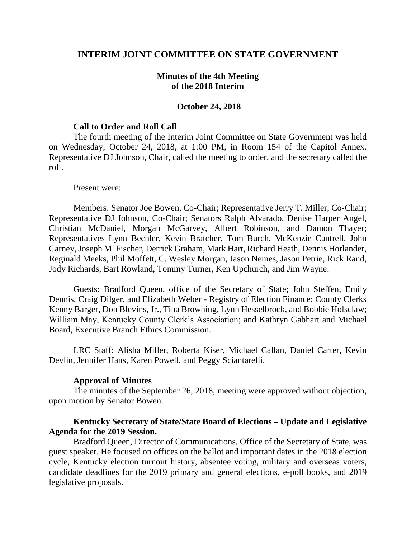## **INTERIM JOINT COMMITTEE ON STATE GOVERNMENT**

## **Minutes of the 4th Meeting of the 2018 Interim**

### **October 24, 2018**

#### **Call to Order and Roll Call**

The fourth meeting of the Interim Joint Committee on State Government was held on Wednesday, October 24, 2018, at 1:00 PM, in Room 154 of the Capitol Annex. Representative DJ Johnson, Chair, called the meeting to order, and the secretary called the roll.

#### Present were:

Members: Senator Joe Bowen, Co-Chair; Representative Jerry T. Miller, Co-Chair; Representative DJ Johnson, Co-Chair; Senators Ralph Alvarado, Denise Harper Angel, Christian McDaniel, Morgan McGarvey, Albert Robinson, and Damon Thayer; Representatives Lynn Bechler, Kevin Bratcher, Tom Burch, McKenzie Cantrell, John Carney, Joseph M. Fischer, Derrick Graham, Mark Hart, Richard Heath, Dennis Horlander, Reginald Meeks, Phil Moffett, C. Wesley Morgan, Jason Nemes, Jason Petrie, Rick Rand, Jody Richards, Bart Rowland, Tommy Turner, Ken Upchurch, and Jim Wayne.

Guests: Bradford Queen, office of the Secretary of State; John Steffen, Emily Dennis, Craig Dilger, and Elizabeth Weber - Registry of Election Finance; County Clerks Kenny Barger, Don Blevins, Jr., Tina Browning, Lynn Hesselbrock, and Bobbie Holsclaw; William May, Kentucky County Clerk's Association; and Kathryn Gabhart and Michael Board, Executive Branch Ethics Commission.

LRC Staff: Alisha Miller, Roberta Kiser, Michael Callan, Daniel Carter, Kevin Devlin, Jennifer Hans, Karen Powell, and Peggy Sciantarelli.

### **Approval of Minutes**

The minutes of the September 26, 2018, meeting were approved without objection, upon motion by Senator Bowen.

## **Kentucky Secretary of State/State Board of Elections – Update and Legislative Agenda for the 2019 Session.**

Bradford Queen, Director of Communications, Office of the Secretary of State, was guest speaker. He focused on offices on the ballot and important dates in the 2018 election cycle, Kentucky election turnout history, absentee voting, military and overseas voters, candidate deadlines for the 2019 primary and general elections, e-poll books, and 2019 legislative proposals.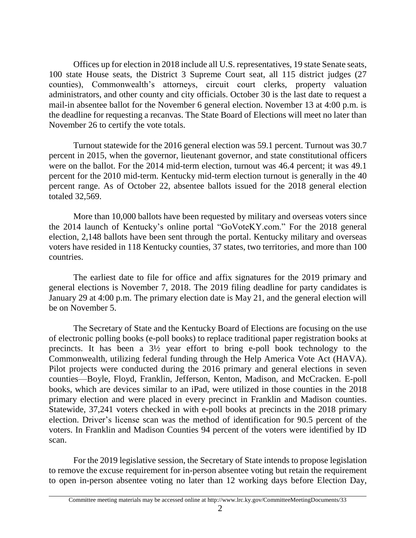Offices up for election in 2018 include all U.S. representatives, 19 state Senate seats, 100 state House seats, the District 3 Supreme Court seat, all 115 district judges (27 counties), Commonwealth's attorneys, circuit court clerks, property valuation administrators, and other county and city officials. October 30 is the last date to request a mail-in absentee ballot for the November 6 general election. November 13 at 4:00 p.m. is the deadline for requesting a recanvas. The State Board of Elections will meet no later than November 26 to certify the vote totals.

Turnout statewide for the 2016 general election was 59.1 percent. Turnout was 30.7 percent in 2015, when the governor, lieutenant governor, and state constitutional officers were on the ballot. For the 2014 mid-term election, turnout was 46.4 percent; it was 49.1 percent for the 2010 mid-term. Kentucky mid-term election turnout is generally in the 40 percent range. As of October 22, absentee ballots issued for the 2018 general election totaled 32,569.

More than 10,000 ballots have been requested by military and overseas voters since the 2014 launch of Kentucky's online portal "GoVoteKY.com." For the 2018 general election, 2,148 ballots have been sent through the portal. Kentucky military and overseas voters have resided in 118 Kentucky counties, 37 states, two territories, and more than 100 countries.

The earliest date to file for office and affix signatures for the 2019 primary and general elections is November 7, 2018. The 2019 filing deadline for party candidates is January 29 at 4:00 p.m. The primary election date is May 21, and the general election will be on November 5.

The Secretary of State and the Kentucky Board of Elections are focusing on the use of electronic polling books (e-poll books) to replace traditional paper registration books at precincts. It has been a 3½ year effort to bring e-poll book technology to the Commonwealth, utilizing federal funding through the Help America Vote Act (HAVA). Pilot projects were conducted during the 2016 primary and general elections in seven counties—Boyle, Floyd, Franklin, Jefferson, Kenton, Madison, and McCracken. E-poll books, which are devices similar to an iPad, were utilized in those counties in the 2018 primary election and were placed in every precinct in Franklin and Madison counties. Statewide, 37,241 voters checked in with e-poll books at precincts in the 2018 primary election. Driver's license scan was the method of identification for 90.5 percent of the voters. In Franklin and Madison Counties 94 percent of the voters were identified by ID scan.

For the 2019 legislative session, the Secretary of State intends to propose legislation to remove the excuse requirement for in-person absentee voting but retain the requirement to open in-person absentee voting no later than 12 working days before Election Day,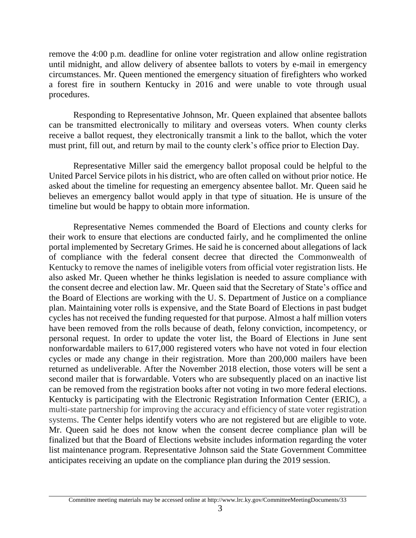remove the 4:00 p.m. deadline for online voter registration and allow online registration until midnight, and allow delivery of absentee ballots to voters by e-mail in emergency circumstances. Mr. Queen mentioned the emergency situation of firefighters who worked a forest fire in southern Kentucky in 2016 and were unable to vote through usual procedures.

Responding to Representative Johnson, Mr. Queen explained that absentee ballots can be transmitted electronically to military and overseas voters. When county clerks receive a ballot request, they electronically transmit a link to the ballot, which the voter must print, fill out, and return by mail to the county clerk's office prior to Election Day.

Representative Miller said the emergency ballot proposal could be helpful to the United Parcel Service pilots in his district, who are often called on without prior notice. He asked about the timeline for requesting an emergency absentee ballot. Mr. Queen said he believes an emergency ballot would apply in that type of situation. He is unsure of the timeline but would be happy to obtain more information.

Representative Nemes commended the Board of Elections and county clerks for their work to ensure that elections are conducted fairly, and he complimented the online portal implemented by Secretary Grimes. He said he is concerned about allegations of lack of compliance with the federal consent decree that directed the Commonwealth of Kentucky to remove the names of ineligible voters from official voter registration lists. He also asked Mr. Queen whether he thinks legislation is needed to assure compliance with the consent decree and election law. Mr. Queen said that the Secretary of State's office and the Board of Elections are working with the U. S. Department of Justice on a compliance plan. Maintaining voter rolls is expensive, and the State Board of Elections in past budget cycles has not received the funding requested for that purpose. Almost a half million voters have been removed from the rolls because of death, felony conviction, incompetency, or personal request. In order to update the voter list, the Board of Elections in June sent nonforwardable mailers to 617,000 registered voters who have not voted in four election cycles or made any change in their registration. More than 200,000 mailers have been returned as undeliverable. After the November 2018 election, those voters will be sent a second mailer that is forwardable. Voters who are subsequently placed on an inactive list can be removed from the registration books after not voting in two more federal elections. Kentucky is participating with the Electronic Registration Information Center (ERIC), a multi-state partnership for improving the accuracy and efficiency of state voter registration systems. The Center helps identify voters who are not registered but are eligible to vote. Mr. Queen said he does not know when the consent decree compliance plan will be finalized but that the Board of Elections website includes information regarding the voter list maintenance program. Representative Johnson said the State Government Committee anticipates receiving an update on the compliance plan during the 2019 session.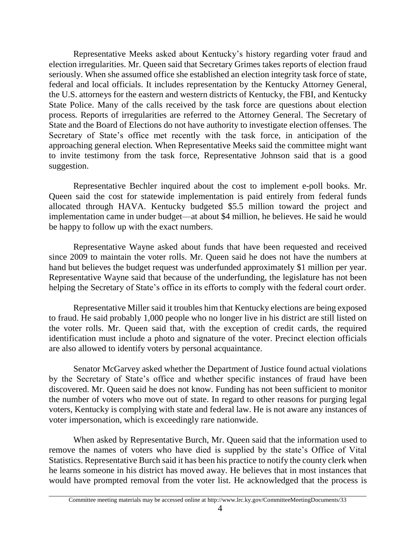Representative Meeks asked about Kentucky's history regarding voter fraud and election irregularities. Mr. Queen said that Secretary Grimes takes reports of election fraud seriously. When she assumed office she established an election integrity task force of state, federal and local officials. It includes representation by the Kentucky Attorney General, the U.S. attorneys for the eastern and western districts of Kentucky, the FBI, and Kentucky State Police. Many of the calls received by the task force are questions about election process*.* Reports of irregularities are referred to the Attorney General. The Secretary of State and the Board of Elections do not have authority to investigate election offenses. The Secretary of State's office met recently with the task force, in anticipation of the approaching general election*.* When Representative Meeks said the committee might want to invite testimony from the task force, Representative Johnson said that is a good suggestion.

Representative Bechler inquired about the cost to implement e-poll books. Mr. Queen said the cost for statewide implementation is paid entirely from federal funds allocated through HAVA. Kentucky budgeted \$5.5 million toward the project and implementation came in under budget—at about \$4 million, he believes. He said he would be happy to follow up with the exact numbers.

Representative Wayne asked about funds that have been requested and received since 2009 to maintain the voter rolls. Mr. Queen said he does not have the numbers at hand but believes the budget request was underfunded approximately \$1 million per year. Representative Wayne said that because of the underfunding, the legislature has not been helping the Secretary of State's office in its efforts to comply with the federal court order.

Representative Miller said it troubles him that Kentucky elections are being exposed to fraud. He said probably 1,000 people who no longer live in his district are still listed on the voter rolls. Mr. Queen said that, with the exception of credit cards, the required identification must include a photo and signature of the voter. Precinct election officials are also allowed to identify voters by personal acquaintance.

Senator McGarvey asked whether the Department of Justice found actual violations by the Secretary of State's office and whether specific instances of fraud have been discovered. Mr. Queen said he does not know. Funding has not been sufficient to monitor the number of voters who move out of state. In regard to other reasons for purging legal voters, Kentucky is complying with state and federal law. He is not aware any instances of voter impersonation, which is exceedingly rare nationwide.

When asked by Representative Burch, Mr. Queen said that the information used to remove the names of voters who have died is supplied by the state's Office of Vital Statistics. Representative Burch said it has been his practice to notify the county clerk when he learns someone in his district has moved away. He believes that in most instances that would have prompted removal from the voter list. He acknowledged that the process is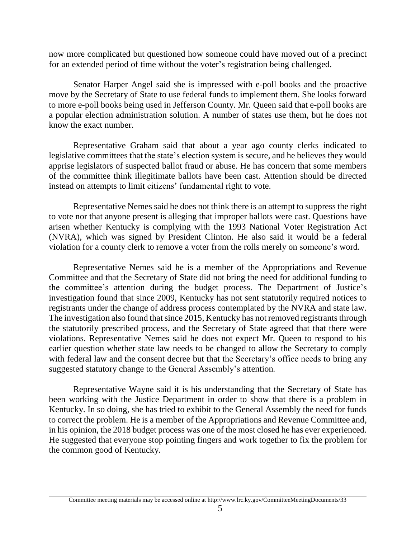now more complicated but questioned how someone could have moved out of a precinct for an extended period of time without the voter's registration being challenged.

Senator Harper Angel said she is impressed with e-poll books and the proactive move by the Secretary of State to use federal funds to implement them. She looks forward to more e-poll books being used in Jefferson County. Mr. Queen said that e-poll books are a popular election administration solution. A number of states use them, but he does not know the exact number.

Representative Graham said that about a year ago county clerks indicated to legislative committees that the state's election system is secure, and he believes they would apprise legislators of suspected ballot fraud or abuse. He has concern that some members of the committee think illegitimate ballots have been cast. Attention should be directed instead on attempts to limit citizens' fundamental right to vote.

Representative Nemes said he does not think there is an attempt to suppress the right to vote nor that anyone present is alleging that improper ballots were cast. Questions have arisen whether Kentucky is complying with the 1993 National Voter Registration Act (NVRA), which was signed by President Clinton. He also said it would be a federal violation for a county clerk to remove a voter from the rolls merely on someone's word.

Representative Nemes said he is a member of the Appropriations and Revenue Committee and that the Secretary of State did not bring the need for additional funding to the committee's attention during the budget process. The Department of Justice's investigation found that since 2009, Kentucky has not sent statutorily required notices to registrants under the change of address process contemplated by the NVRA and state law. The investigation also found that since 2015, Kentucky has not removed registrants through the statutorily prescribed process, and the Secretary of State agreed that that there were violations. Representative Nemes said he does not expect Mr. Queen to respond to his earlier question whether state law needs to be changed to allow the Secretary to comply with federal law and the consent decree but that the Secretary's office needs to bring any suggested statutory change to the General Assembly's attention*.* 

Representative Wayne said it is his understanding that the Secretary of State has been working with the Justice Department in order to show that there is a problem in Kentucky. In so doing, she has tried to exhibit to the General Assembly the need for funds to correct the problem. He is a member of the Appropriations and Revenue Committee and, in his opinion, the 2018 budget process was one of the most closed he has ever experienced. He suggested that everyone stop pointing fingers and work together to fix the problem for the common good of Kentucky*.* 

Committee meeting materials may be accessed online at http://www.lrc.ky.gov/CommitteeMeetingDocuments/33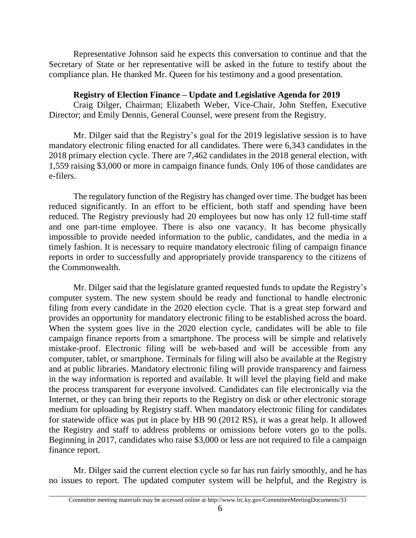Representative Johnson said he expects this conversation to continue and that the Secretary of State or her representative will be asked in the future to testify about the compliance plan. He thanked Mr. Queen for his testimony and a good presentation.

# **Registry of Election Finance – Update and Legislative Agenda for 2019**

Craig Dilger, Chairman; Elizabeth Weber, Vice-Chair, John Steffen, Executive Director; and Emily Dennis, General Counsel, were present from the Registry.

Mr. Dilger said that the Registry's goal for the 2019 legislative session is to have mandatory electronic filing enacted for all candidates. There were 6,343 candidates in the 2018 primary election cycle. There are 7,462 candidates in the 2018 general election, with 1,559 raising \$3,000 or more in campaign finance funds. Only 106 of those candidates are e-filers.

The regulatory function of the Registry has changed over time. The budget has been reduced significantly. In an effort to be efficient, both staff and spending have been reduced. The Registry previously had 20 employees but now has only 12 full-time staff and one part-time employee. There is also one vacancy. It has become physically impossible to provide needed information to the public, candidates, and the media in a timely fashion. It is necessary to require mandatory electronic filing of campaign finance reports in order to successfully and appropriately provide transparency to the citizens of the Commonwealth*.*

Mr. Dilger said that the legislature granted requested funds to update the Registry's computer system. The new system should be ready and functional to handle electronic filing from every candidate in the 2020 election cycle. That is a great step forward and provides an opportunity for mandatory electronic filing to be established across the board. When the system goes live in the 2020 election cycle, candidates will be able to file campaign finance reports from a smartphone. The process will be simple and relatively mistake-proof. Electronic filing will be web-based and will be accessible from any computer, tablet, or smartphone. Terminals for filing will also be available at the Registry and at public libraries. Mandatory electronic filing will provide transparency and fairness in the way information is reported and available. It will level the playing field and make the process transparent for everyone involved. Candidates can file electronically via the Internet, or they can bring their reports to the Registry on disk or other electronic storage medium for uploading by Registry staff. When mandatory electronic filing for candidates for statewide office was put in place by HB 90 (2012 RS), it was a great help. It allowed the Registry and staff to address problems or omissions before voters go to the polls. Beginning in 2017, candidates who raise \$3,000 or less are not required to file a campaign finance report.

Mr. Dilger said the current election cycle so far has run fairly smoothly, and he has no issues to report. The updated computer system will be helpful, and the Registry is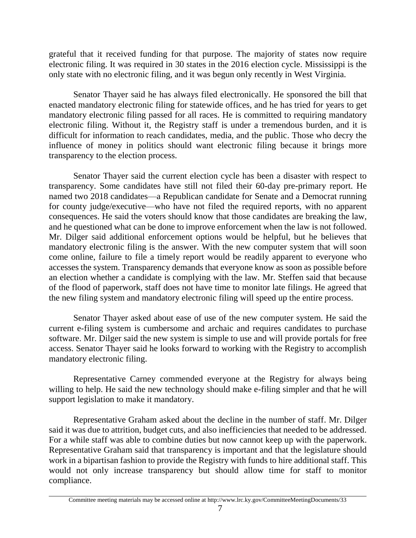grateful that it received funding for that purpose. The majority of states now require electronic filing. It was required in 30 states in the 2016 election cycle. Mississippi is the only state with no electronic filing, and it was begun only recently in West Virginia.

Senator Thayer said he has always filed electronically. He sponsored the bill that enacted mandatory electronic filing for statewide offices, and he has tried for years to get mandatory electronic filing passed for all races. He is committed to requiring mandatory electronic filing. Without it, the Registry staff is under a tremendous burden, and it is difficult for information to reach candidates, media, and the public. Those who decry the influence of money in politics should want electronic filing because it brings more transparency to the election process.

Senator Thayer said the current election cycle has been a disaster with respect to transparency. Some candidates have still not filed their 60-day pre-primary report. He named two 2018 candidates—a Republican candidate for Senate and a Democrat running for county judge/executive—who have not filed the required reports, with no apparent consequences. He said the voters should know that those candidates are breaking the law, and he questioned what can be done to improve enforcement when the law is not followed. Mr. Dilger said additional enforcement options would be helpful, but he believes that mandatory electronic filing is the answer. With the new computer system that will soon come online, failure to file a timely report would be readily apparent to everyone who accesses the system. Transparency demands that everyone know as soon as possible before an election whether a candidate is complying with the law. Mr. Steffen said that because of the flood of paperwork, staff does not have time to monitor late filings. He agreed that the new filing system and mandatory electronic filing will speed up the entire process.

Senator Thayer asked about ease of use of the new computer system. He said the current e-filing system is cumbersome and archaic and requires candidates to purchase software. Mr. Dilger said the new system is simple to use and will provide portals for free access. Senator Thayer said he looks forward to working with the Registry to accomplish mandatory electronic filing.

Representative Carney commended everyone at the Registry for always being willing to help. He said the new technology should make e-filing simpler and that he will support legislation to make it mandatory.

Representative Graham asked about the decline in the number of staff. Mr. Dilger said it was due to attrition, budget cuts, and also inefficiencies that needed to be addressed. For a while staff was able to combine duties but now cannot keep up with the paperwork. Representative Graham said that transparency is important and that the legislature should work in a bipartisan fashion to provide the Registry with funds to hire additional staff. This would not only increase transparency but should allow time for staff to monitor compliance.

Committee meeting materials may be accessed online at http://www.lrc.ky.gov/CommitteeMeetingDocuments/33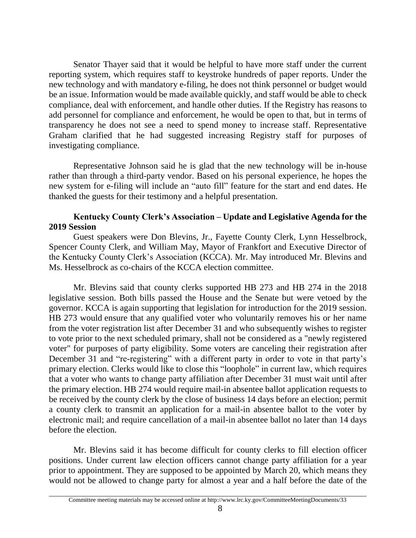Senator Thayer said that it would be helpful to have more staff under the current reporting system, which requires staff to keystroke hundreds of paper reports. Under the new technology and with mandatory e-filing, he does not think personnel or budget would be an issue. Information would be made available quickly, and staff would be able to check compliance, deal with enforcement, and handle other duties. If the Registry has reasons to add personnel for compliance and enforcement, he would be open to that, but in terms of transparency he does not see a need to spend money to increase staff. Representative Graham clarified that he had suggested increasing Registry staff for purposes of investigating compliance*.*

Representative Johnson said he is glad that the new technology will be in-house rather than through a third-party vendor. Based on his personal experience, he hopes the new system for e-filing will include an "auto fill" feature for the start and end dates. He thanked the guests for their testimony and a helpful presentation*.*

# **Kentucky County Clerk's Association – Update and Legislative Agenda for the 2019 Session**

Guest speakers were Don Blevins, Jr., Fayette County Clerk, Lynn Hesselbrock, Spencer County Clerk, and William May, Mayor of Frankfort and Executive Director of the Kentucky County Clerk's Association (KCCA). Mr. May introduced Mr. Blevins and Ms. Hesselbrock as co-chairs of the KCCA election committee.

Mr. Blevins said that county clerks supported HB 273 and HB 274 in the 2018 legislative session. Both bills passed the House and the Senate but were vetoed by the governor. KCCA is again supporting that legislation for introduction for the 2019 session. HB 273 would ensure that any qualified voter who voluntarily removes his or her name from the voter registration list after December 31 and who subsequently wishes to register to vote prior to the next scheduled primary, shall not be considered as a "newly registered voter" for purposes of party eligibility. Some voters are canceling their registration after December 31 and "re-registering" with a different party in order to vote in that party's primary election. Clerks would like to close this "loophole" in current law, which requires that a voter who wants to change party affiliation after December 31 must wait until after the primary election. HB 274 would require mail-in absentee ballot application requests to be received by the county clerk by the close of business 14 days before an election; permit a county clerk to transmit an application for a mail-in absentee ballot to the voter by electronic mail; and require cancellation of a mail-in absentee ballot no later than 14 days before the election.

Mr. Blevins said it has become difficult for county clerks to fill election officer positions. Under current law election officers cannot change party affiliation for a year prior to appointment. They are supposed to be appointed by March 20, which means they would not be allowed to change party for almost a year and a half before the date of the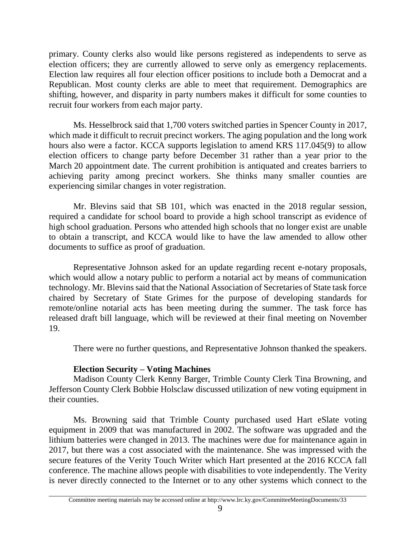primary. County clerks also would like persons registered as independents to serve as election officers; they are currently allowed to serve only as emergency replacements. Election law requires all four election officer positions to include both a Democrat and a Republican. Most county clerks are able to meet that requirement. Demographics are shifting, however, and disparity in party numbers makes it difficult for some counties to recruit four workers from each major party.

Ms. Hesselbrock said that 1,700 voters switched parties in Spencer County in 2017, which made it difficult to recruit precinct workers. The aging population and the long work hours also were a factor. KCCA supports legislation to amend KRS 117.045(9) to allow election officers to change party before December 31 rather than a year prior to the March 20 appointment date. The current prohibition is antiquated and creates barriers to achieving parity among precinct workers. She thinks many smaller counties are experiencing similar changes in voter registration.

Mr. Blevins said that SB 101, which was enacted in the 2018 regular session, required a candidate for school board to provide a high school transcript as evidence of high school graduation. Persons who attended high schools that no longer exist are unable to obtain a transcript, and KCCA would like to have the law amended to allow other documents to suffice as proof of graduation.

Representative Johnson asked for an update regarding recent e-notary proposals, which would allow a notary public to perform a notarial act by means of communication technology. Mr. Blevins said that the National Association of Secretaries of State task force chaired by Secretary of State Grimes for the purpose of developing standards for remote/online notarial acts has been meeting during the summer. The task force has released draft bill language, which will be reviewed at their final meeting on November 19.

There were no further questions, and Representative Johnson thanked the speakers.

# **Election Security – Voting Machines**

Madison County Clerk Kenny Barger, Trimble County Clerk Tina Browning, and Jefferson County Clerk Bobbie Holsclaw discussed utilization of new voting equipment in their counties.

Ms. Browning said that Trimble County purchased used Hart eSlate voting equipment in 2009 that was manufactured in 2002. The software was upgraded and the lithium batteries were changed in 2013. The machines were due for maintenance again in 2017, but there was a cost associated with the maintenance. She was impressed with the secure features of the Verity Touch Writer which Hart presented at the 2016 KCCA fall conference. The machine allows people with disabilities to vote independently. The Verity is never directly connected to the Internet or to any other systems which connect to the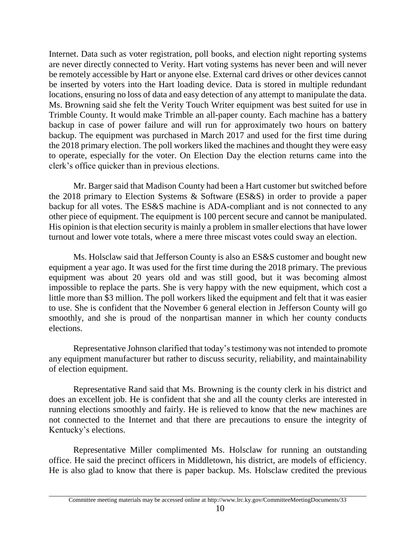Internet. Data such as voter registration, poll books, and election night reporting systems are never directly connected to Verity. Hart voting systems has never been and will never be remotely accessible by Hart or anyone else. External card drives or other devices cannot be inserted by voters into the Hart loading device. Data is stored in multiple redundant locations, ensuring no loss of data and easy detection of any attempt to manipulate the data. Ms. Browning said she felt the Verity Touch Writer equipment was best suited for use in Trimble County. It would make Trimble an all-paper county. Each machine has a battery backup in case of power failure and will run for approximately two hours on battery backup. The equipment was purchased in March 2017 and used for the first time during the 2018 primary election. The poll workers liked the machines and thought they were easy to operate, especially for the voter. On Election Day the election returns came into the clerk's office quicker than in previous elections.

Mr. Barger said that Madison County had been a Hart customer but switched before the 2018 primary to Election Systems & Software (ES&S) in order to provide a paper backup for all votes. The ES&S machine is ADA-compliant and is not connected to any other piece of equipment. The equipment is 100 percent secure and cannot be manipulated. His opinion is that election security is mainly a problem in smaller elections that have lower turnout and lower vote totals, where a mere three miscast votes could sway an election.

Ms. Holsclaw said that Jefferson County is also an ES&S customer and bought new equipment a year ago. It was used for the first time during the 2018 primary. The previous equipment was about 20 years old and was still good, but it was becoming almost impossible to replace the parts. She is very happy with the new equipment, which cost a little more than \$3 million. The poll workers liked the equipment and felt that it was easier to use. She is confident that the November 6 general election in Jefferson County will go smoothly, and she is proud of the nonpartisan manner in which her county conducts elections.

Representative Johnson clarified that today's testimony was not intended to promote any equipment manufacturer but rather to discuss security, reliability, and maintainability of election equipment.

Representative Rand said that Ms. Browning is the county clerk in his district and does an excellent job. He is confident that she and all the county clerks are interested in running elections smoothly and fairly. He is relieved to know that the new machines are not connected to the Internet and that there are precautions to ensure the integrity of Kentucky's elections.

Representative Miller complimented Ms. Holsclaw for running an outstanding office. He said the precinct officers in Middletown, his district, are models of efficiency. He is also glad to know that there is paper backup. Ms. Holsclaw credited the previous